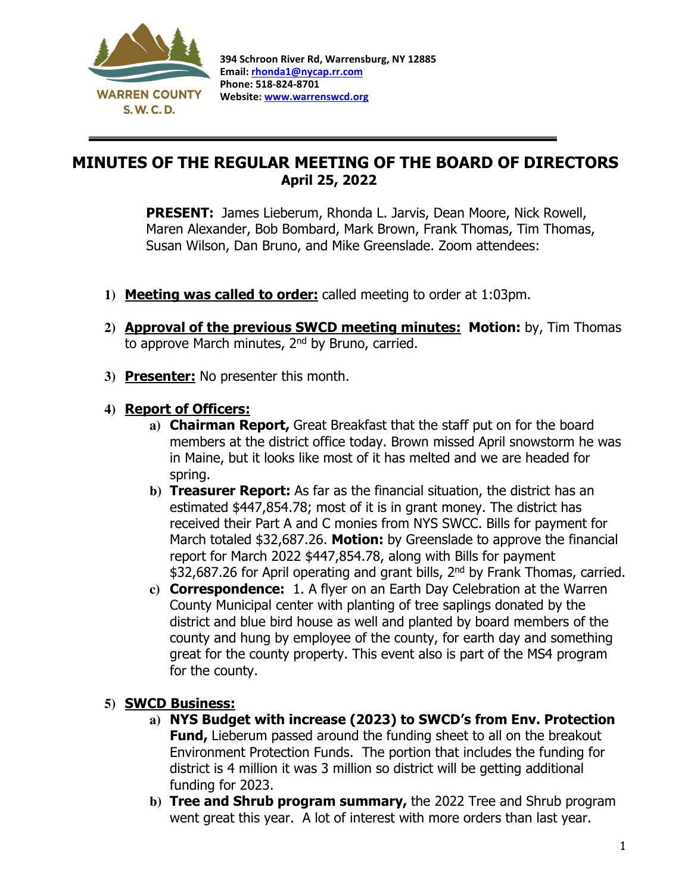

 $\overline{a}$ 

## MINUTES OF THE REGULAR MEETING OF THE BOARD OF DIRECTORS April 25, 2022

PRESENT: James Lieberum, Rhonda L. Jarvis, Dean Moore, Nick Rowell, Maren Alexander, Bob Bombard, Mark Brown, Frank Thomas, Tim Thomas, Susan Wilson, Dan Bruno, and Mike Greenslade. Zoom attendees:

- **1)** Meeting was called to order: called meeting to order at 1:03pm.
- 2) **Approval of the previous SWCD meeting minutes: Motion:** by, Tim Thomas to approve March minutes, 2nd by Bruno, carried.
- **3)** Presenter: No presenter this month.

## **4)** Report of Officers:

- **a)** Chairman Report, Great Breakfast that the staff put on for the board members at the district office today. Brown missed April snowstorm he was in Maine, but it looks like most of it has melted and we are headed for spring.
- **b)** Treasurer Report: As far as the financial situation, the district has an estimated \$447,854.78; most of it is in grant money. The district has received their Part A and C monies from NYS SWCC. Bills for payment for March totaled \$32,687.26. Motion: by Greenslade to approve the financial report for March 2022 \$447,854.78, along with Bills for payment \$32,687.26 for April operating and grant bills, 2<sup>nd</sup> by Frank Thomas, carried.
- **c)** Correspondence: 1. A flyer on an Earth Day Celebration at the Warren County Municipal center with planting of tree saplings donated by the district and blue bird house as well and planted by board members of the county and hung by employee of the county, for earth day and something great for the county property. This event also is part of the MS4 program for the county.

## **5)** SWCD Business:

- **a)** NYS Budget with increase (2023) to SWCD's from Env. Protection **Fund,** Lieberum passed around the funding sheet to all on the breakout Environment Protection Funds. The portion that includes the funding for district is 4 million it was 3 million so district will be getting additional funding for 2023.
- **b)** Tree and Shrub program summary, the 2022 Tree and Shrub program went great this year. A lot of interest with more orders than last year.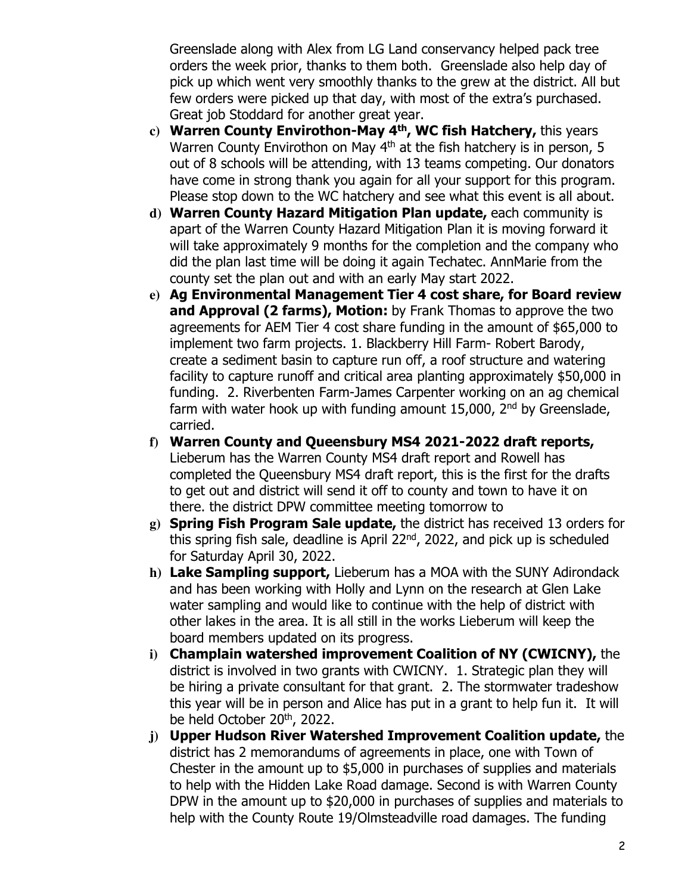Greenslade along with Alex from LG Land conservancy helped pack tree orders the week prior, thanks to them both. Greenslade also help day of pick up which went very smoothly thanks to the grew at the district. All but few orders were picked up that day, with most of the extra's purchased. Great job Stoddard for another great year.

- **c)** Warren County Envirothon-May 4th, WC fish Hatchery, this years Warren County Envirothon on May 4<sup>th</sup> at the fish hatchery is in person, 5 out of 8 schools will be attending, with 13 teams competing. Our donators have come in strong thank you again for all your support for this program. Please stop down to the WC hatchery and see what this event is all about.
- **d)** Warren County Hazard Mitigation Plan update, each community is apart of the Warren County Hazard Mitigation Plan it is moving forward it will take approximately 9 months for the completion and the company who did the plan last time will be doing it again Techatec. AnnMarie from the county set the plan out and with an early May start 2022.
- **e)** Ag Environmental Management Tier 4 cost share, for Board review and Approval (2 farms), Motion: by Frank Thomas to approve the two agreements for AEM Tier 4 cost share funding in the amount of \$65,000 to implement two farm projects. 1. Blackberry Hill Farm- Robert Barody, create a sediment basin to capture run off, a roof structure and watering facility to capture runoff and critical area planting approximately \$50,000 in funding. 2. Riverbenten Farm-James Carpenter working on an ag chemical farm with water hook up with funding amount  $15,000$ ,  $2<sup>nd</sup>$  by Greenslade, carried.
- **f)** Warren County and Queensbury MS4 2021-2022 draft reports, Lieberum has the Warren County MS4 draft report and Rowell has completed the Queensbury MS4 draft report, this is the first for the drafts to get out and district will send it off to county and town to have it on there. the district DPW committee meeting tomorrow to
- **g)** Spring Fish Program Sale update, the district has received 13 orders for this spring fish sale, deadline is April 22nd, 2022, and pick up is scheduled for Saturday April 30, 2022.
- **h)** Lake Sampling support, Lieberum has a MOA with the SUNY Adirondack and has been working with Holly and Lynn on the research at Glen Lake water sampling and would like to continue with the help of district with other lakes in the area. It is all still in the works Lieberum will keep the board members updated on its progress.
- **i)** Champlain watershed improvement Coalition of NY (CWICNY), the district is involved in two grants with CWICNY. 1. Strategic plan they will be hiring a private consultant for that grant. 2. The stormwater tradeshow this year will be in person and Alice has put in a grant to help fun it. It will be held October 20<sup>th</sup>, 2022.
- **j)** Upper Hudson River Watershed Improvement Coalition update, the district has 2 memorandums of agreements in place, one with Town of Chester in the amount up to \$5,000 in purchases of supplies and materials to help with the Hidden Lake Road damage. Second is with Warren County DPW in the amount up to \$20,000 in purchases of supplies and materials to help with the County Route 19/Olmsteadville road damages. The funding